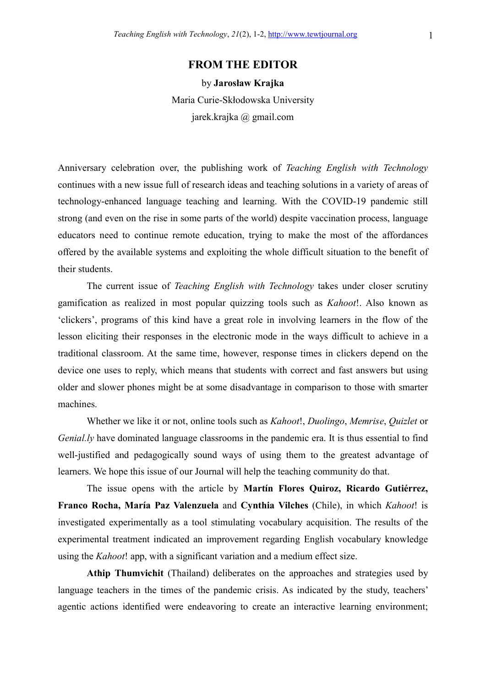## FROM THE EDITOR

by Jarosław Krajka Maria Curie-Skłodowska University jarek.krajka @ gmail.com

Anniversary celebration over, the publishing work of Teaching English with Technology continues with a new issue full of research ideas and teaching solutions in a variety of areas of technology-enhanced language teaching and learning. With the COVID-19 pandemic still strong (and even on the rise in some parts of the world) despite vaccination process, language educators need to continue remote education, trying to make the most of the affordances offered by the available systems and exploiting the whole difficult situation to the benefit of their students.

The current issue of *Teaching English with Technology* takes under closer scrutiny gamification as realized in most popular quizzing tools such as Kahoot!. Also known as 'clickers', programs of this kind have a great role in involving learners in the flow of the lesson eliciting their responses in the electronic mode in the ways difficult to achieve in a traditional classroom. At the same time, however, response times in clickers depend on the device one uses to reply, which means that students with correct and fast answers but using older and slower phones might be at some disadvantage in comparison to those with smarter machines.

Whether we like it or not, online tools such as *Kahoot!, Duolingo, Memrise, Quizlet* or Genial.ly have dominated language classrooms in the pandemic era. It is thus essential to find well-justified and pedagogically sound ways of using them to the greatest advantage of learners. We hope this issue of our Journal will help the teaching community do that.

 The issue opens with the article by Martín Flores Quiroz, Ricardo Gutiérrez, Franco Rocha, María Paz Valenzuela and Cynthia Vilches (Chile), in which Kahoot! is investigated experimentally as a tool stimulating vocabulary acquisition. The results of the experimental treatment indicated an improvement regarding English vocabulary knowledge using the Kahoot! app, with a significant variation and a medium effect size.

Athip Thumvichit (Thailand) deliberates on the approaches and strategies used by language teachers in the times of the pandemic crisis. As indicated by the study, teachers' agentic actions identified were endeavoring to create an interactive learning environment;